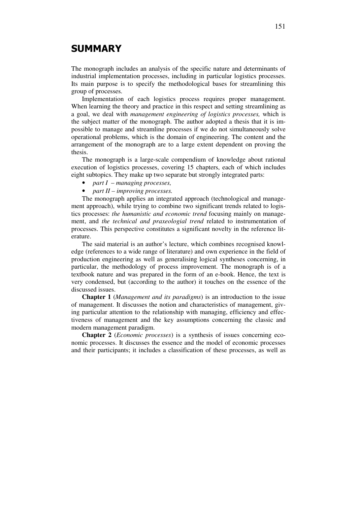## SUMMARY

The monograph includes an analysis of the specific nature and determinants of industrial implementation processes, including in particular logistics processes. Its main purpose is to specify the methodological bases for streamlining this group of processes.

Implementation of each logistics process requires proper management. When learning the theory and practice in this respect and setting streamlining as a goal, we deal with *management engineering of logistics processes,* which is the subject matter of the monograph. The author adopted a thesis that it is impossible to manage and streamline processes if we do not simultaneously solve operational problems, which is the domain of engineering. The content and the arrangement of the monograph are to a large extent dependent on proving the thesis.

The monograph is a large-scale compendium of knowledge about rational execution of logistics processes, covering 15 chapters, each of which includes eight subtopics. They make up two separate but strongly integrated parts:

- *part I managing processes,*
- *part II improving processes.*

The monograph applies an integrated approach (technological and management approach), while trying to combine two significant trends related to logistics processes: *the humanistic and economic trend* focusing mainly on management, and *the technical and praxeologial trend* related to instrumentation of processes. This perspective constitutes a significant novelty in the reference literature.

The said material is an author's lecture, which combines recognised knowledge (references to a wide range of literature) and own experience in the field of production engineering as well as generalising logical syntheses concerning, in particular, the methodology of process improvement. The monograph is of a textbook nature and was prepared in the form of an e-book. Hence, the text is very condensed, but (according to the author) it touches on the essence of the discussed issues.

**Chapter 1** (*Management and its paradigms*) is an introduction to the issue of management. It discusses the notion and characteristics of management, giving particular attention to the relationship with managing, efficiency and effectiveness of management and the key assumptions concerning the classic and modern management paradigm.

**Chapter 2** (*Economic processes*) is a synthesis of issues concerning economic processes. It discusses the essence and the model of economic processes and their participants; it includes a classification of these processes, as well as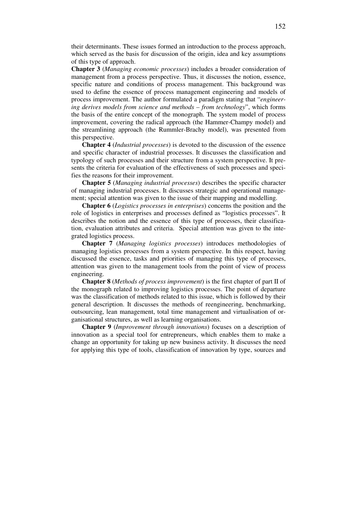their determinants. These issues formed an introduction to the process approach, which served as the basis for discussion of the origin, idea and key assumptions of this type of approach.

**Chapter 3** (*Managing economic processes*) includes a broader consideration of management from a process perspective. Thus, it discusses the notion, essence, specific nature and conditions of process management. This background was used to define the essence of process management engineering and models of process improvement. The author formulated a paradigm stating that "*engineering derives models from science and methods – from technology*", which forms the basis of the entire concept of the monograph. The system model of process improvement, covering the radical approach (the Hammer-Champy model) and the streamlining approach (the Rummler-Brachy model), was presented from this perspective.

**Chapter 4** (*Industrial processes*) is devoted to the discussion of the essence and specific character of industrial processes. It discusses the classification and typology of such processes and their structure from a system perspective. It presents the criteria for evaluation of the effectiveness of such processes and specifies the reasons for their improvement.

**Chapter 5** (*Managing industrial processes*) describes the specific character of managing industrial processes. It discusses strategic and operational management; special attention was given to the issue of their mapping and modelling.

**Chapter 6** (*Logistics processes in enterprises*) concerns the position and the role of logistics in enterprises and processes defined as "logistics processes". It describes the notion and the essence of this type of processes, their classification, evaluation attributes and criteria. Special attention was given to the integrated logistics process.

**Chapter 7** (*Managing logistics processes*) introduces methodologies of managing logistics processes from a system perspective. In this respect, having discussed the essence, tasks and priorities of managing this type of processes, attention was given to the management tools from the point of view of process engineering.

**Chapter 8** (*Methods of process improvement*) is the first chapter of part II of the monograph related to improving logistics processes. The point of departure was the classification of methods related to this issue, which is followed by their general description. It discusses the methods of reengineering, benchmarking, outsourcing, lean management, total time management and virtualisation of organisational structures, as well as learning organisations.

**Chapter 9** (*Improvement through innovations*) focuses on a description of innovation as a special tool for entrepreneurs, which enables them to make a change an opportunity for taking up new business activity. It discusses the need for applying this type of tools, classification of innovation by type, sources and